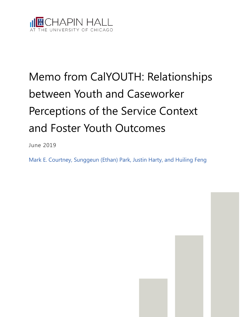

# Memo from CalYOUTH: Relationships between Youth and Caseworker Perceptions of the Service Context and Foster Youth Outcomes

June 2019

Mark E. Courtney, Sunggeun (Ethan) Park, Justin Harty, and Huiling Feng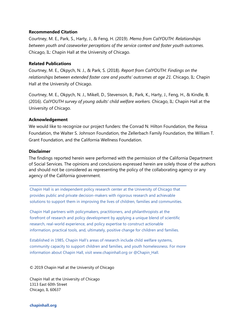## **Recommended Citation**

Courtney, M. E., Park, S., Harty, J., & Feng, H. (2019). *Memo from CalYOUTH: Relationships between youth and caseworker perceptions of the service context and foster youth outcomes*. Chicago, IL: Chapin Hall at the University of Chicago.

### **Related Publications**

Courtney, M. E., Okpych, N. J., & Park, S. (2018). *Report from CalYOUTH: Findings on the relationships between extended foster care and youths' outcomes at age 21.* Chicago, IL: Chapin Hall at the University of Chicago.

Courtney, M. E., Okpych, N. J., Mikell, D., Stevenson, B., Park, K., Harty, J., Feng, H., & Kindle, B. (2016). *CalYOUTH survey of young adults' child welfare workers.* Chicago, IL: Chapin Hall at the University of Chicago.

### **Acknowledgement**

We would like to recognize our project funders: the Conrad N. Hilton Foundation, the Reissa Foundation, the Walter S. Johnson Foundation, the Zellerbach Family Foundation, the William T. Grant Foundation, and the California Wellness Foundation.

#### **Disclaimer**

The findings reported herein were performed with the permission of the California Department of Social Services. The opinions and conclusions expressed herein are solely those of the authors and should not be considered as representing the policy of the collaborating agency or any agency of the California government.

Chapin Hall is an independent policy research center at the University of Chicago that provides public and private decision-makers with rigorous research and achievable solutions to support them in improving the lives of children, families and communities.

Chapin Hall partners with policymakers, practitioners, and philanthropists at the forefront of research and policy development by applying a unique blend of scientific research, real-world experience, and policy expertise to construct actionable information, practical tools, and, ultimately, positive change for children and families.

Established in 1985, Chapin Hall's areas of research include child welfare systems, community capacity to support children and families, and youth homelessness. For more information about Chapin Hall, visit www.chapinhall.org or @Chapin\_Hall.

© 2019 Chapin Hall at the University of Chicago

Chapin Hall at the University of Chicago 1313 East 60th Street Chicago, IL 60637

#### **chapinhall.org**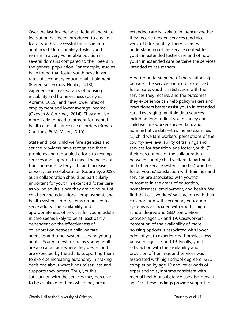Over the last few decades, federal and state legislation has been introduced to ensure foster youth's successful transition into adulthood. Unfortunately, foster youth remain in a very vulnerable position in several domains compared to their peers in the general population. For example, studies have found that foster youth have lower rates of secondary educational attainment (Frerer, Sosenko, & Henke, 2013), experience increased rates of housing instability and homelessness (Curry & Abrams, 2015), and have lower rates of employment and lower average income (Okpych & Courtney, 2014). They are also more likely to need treatment for mental health and substance use disorders (Brown, Courtney, & McMillen, 2015).

State and local child welfare agencies and service providers have recognized these problems and redoubled efforts to revamp services and supports to meet the needs of transition-age foster youth and increase cross-system collaboration (Courtney, 2009). Such collaboration should be particularly important for youth in extended foster care as young adults, since they are aging out of child-serving educational, employment, and health systems into systems organized to serve adults. The availability and appropriateness of services for young adults in care seems likely to be at least partly dependent on the effectiveness of collaboration between child welfare agencies and other systems serving young adults. Youth in foster care as young adults are also at an age where they desire, and are expected by the adults supporting them, to exercise increasing autonomy in making decisions about what kinds of services and supports they access. Thus, youth's satisfaction with the services they perceive to be available to them while they are in

extended care is likely to influence whether they receive needed services (and vice versa). Unfortunately, there is limited understanding of the service context for youth in extended foster care and of how youth in extended care perceive the services intended to assist them.

A better understanding of the relationships between the service context of extended foster care, youth's satisfaction with the services they receive, and the outcomes they experience can help policymakers and practitioners better assist youth in extended care. Leveraging multiple data sources including longitudinal youth survey data, child welfare worker survey data, and administrative data—this memo examines (1) child welfare workers' perceptions of the county-level availability of trainings and services for transition-age foster youth, (2) their perceptions of the collaboration between county child welfare departments and other service systems, and (3) whether foster youths' satisfaction with trainings and services are associated with youths' outcomes in the areas of education, homelessness, employment, and health. We find that caseworkers' satisfaction with their collaboration with secondary education systems is associated with youths' high school degree and GED completion between ages 17 and 19. Caseworkers' perception of the availability of more housing options is associated with lower odds of youth experiencing homelessness between ages 17 and 19. Finally, youths' satisfaction with the availability and provision of trainings and services was associated with high school degree or GED completion by age 19 and lower odds of experiencing symptoms consistent with mental health or substance use disorders at age 19. These findings provide support for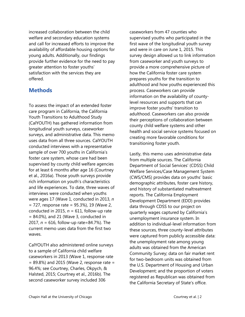increased collaboration between the child welfare and secondary education systems and call for increased efforts to improve the availability of affordable housing options for young adults. Additionally, our findings provide further evidence for the need to pay greater attention to foster youths' satisfaction with the services they are offered.

## **Methods**

To assess the impact of an extended foster care program in California, the California Youth Transitions to Adulthood Study (CalYOUTH) has gathered information from longitudinal youth surveys, caseworker surveys, and administrative data. This memo uses data from all three sources. CalYOUTH conducted interviews with a representative sample of over 700 youths in California's foster care system, whose care had been supervised by county child welfare agencies for at least 6 months after age 16 (Courtney et al., 2016a). Those youth surveys provide rich information on youth's characteristics and life experiences. To date, three waves of interviews were conducted when youths were ages 17 (Wave 1, conducted in 2013, *n*  $= 727$ , response rate  $= 95.3\%$ ), 19 (Wave 2, conducted in 2015,  $n = 611$ , follow-up rate = 84.0%), and 21 (Wave 3, conducted in 2017, *n* = 616, follow-up rate=84.7%). The current memo uses data from the first two waves.

CalYOUTH also administered online surveys to a sample of California child welfare caseworkers in 2013 (Wave 1, response rate  $= 89.8\%$ ) and 2015 (Wave 2, response rate  $=$ 96.4%; see Courtney, Charles, Okpych, & Halsted, 2015; Courtney et al., 2016b). The second caseworker survey included 306

caseworkers from 47 counties who supervised youths who participated in the first wave of the longitudinal youth survey and were in care on June 1, 2015. This survey design allowed us to link information from caseworker and youth surveys to provide a more comprehensive picture of how the California foster care system prepares youths for the transition to adulthood and how youths experienced this process. Caseworkers can provide information on the availability of countylevel resources and supports that can improve foster youths' transition to adulthood. Caseworkers can also provide their perceptions of collaboration between county child welfare systems and other health and social service systems focused on creating more favorable conditions for transitioning foster youth.

Lastly, this memo uses administrative data from multiple sources. The California Department of Social Services' (CDSS) Child Welfare Services/Case Management System (CWS/CMS) provides data on youths' basic demographic attributes, foster care history, and history of substantiated maltreatment reports. The California Employment Development Department (EDD) provides data through CDSS to our project on quarterly wages captured by California's unemployment insurance system. In addition to individual-level information from these sources, three county-level attributes were captured from publicly accessible data: the unemployment rate among young adults was obtained from the American Community Survey; data on fair market rent for two-bedroom units was obtained from the U.S. Department of Housing and Urban Development; and the proportion of voters registered as Republican was obtained from the California Secretary of State's office.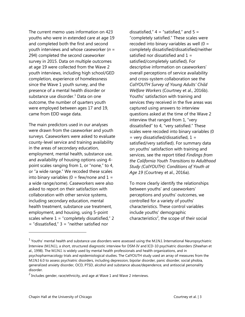The current memo uses information on 423 youths who were in extended care at age 19 and completed both the first and second youth interviews and whose caseworker (*n* = 294) completed the second caseworker survey in 2015. Data on multiple outcomes at age 19 were collected from the Wave 2 youth interviews, including high school/GED completion, experience of homelessness since the Wave 1 youth survey, and the presence of a mental health disorder or substance use disorder.<sup>[1](#page-4-0)</sup> Data on one outcome, the number of quarters youth were employed between ages 17 and 19, came from EDD wage data.

The main predictors used in our analyses were drawn from the caseworker and youth surveys. Caseworkers were asked to evaluate county-level service and training availability in the areas of secondary education, employment, mental health, substance use, and availability of housing options using 4 point scales ranging from 1, or "none," to 4, or "a wide range." We recoded these scales into binary variables ( $0 = few/none$  and  $1 =$ a wide range/some). Caseworkers were also asked to report on their satisfaction with collaboration with other service systems, including secondary education, mental health treatment, substance use treatment, employment, and housing, using 5-point scales where  $1 =$  "completely dissatisfied," 2 = "dissatisfied," 3 = "neither satisfied nor

dissatisfied,"  $4 =$  "satisfied," and  $5 =$ "completely satisfied." These scales were recoded into binary variables as well  $(0 =$ completely dissatisfied/dissatisfied/neither satisfied nor dissatisfied and  $1 =$ satisfied/completely satisfied). For descriptive information on caseworkers' overall perceptions of service availability and cross-system collaboration see the *CalYOUTH Survey of Young Adults' Child Welfare Workers* (Courtney et al., 2016b). Youths' satisfaction with training and services they received in the five areas was captured using answers to interview questions asked at the time of the Wave 2 interview that ranged from 1, "very dissatisfied" to 4, "very satisfied." These scales were recoded into binary variables (0  $=$  very dissatisfied/dissatisfied,  $1 =$ satisfied/very satisfied). For summary data on youths' satisfaction with training and services, see the report titled *Findings from the California Youth Transitions to Adulthood Study (CalYOUTH): Conditions of Youth at Age 19* (Courtney et al., 2016a).

To more clearly identify the relationships between youths' and caseworkers' perceptions and youths' outcomes, we controlled for a variety of youths' characteristics. These control variables include youths' demographic characteristics<sup>[2](#page-4-1)</sup>, the scope of their social

j

<span id="page-4-0"></span> $1$  Youths' mental health and substance use disorders were assessed using the M.I.N.I. International Neuropsychiatric Interview (M.I.N.I.), a short, structured diagnostic interview for DSM-IV and ICD-10 psychiatric disorders (Sheehan et al., 1998). The M.I.N.I. is widely used by mental health professionals and health organizations, and in psychopharmacology trials and epidemiological studies. The CalYOUTH study used an array of measures from the M.I.N.I 6.0 to assess psychiatric disorders, including depression, bipolar disorder, panic disorder, social phobia, generalized anxiety disorder, OCD, PTSD, alcohol and substance abuse/dependence, and antisocial personality disorder.

<span id="page-4-1"></span> $2$  Includes gender, race/ethnicity, and age at Wave 1 and Wave 2 interviews.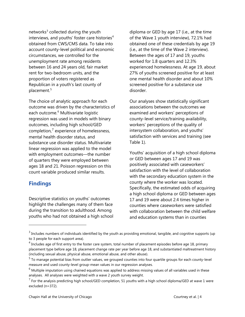networks $3$  collected during the youth interviews, and youths' foster care histories<sup>[4](#page-5-1)</sup> obtained from CWS/CMS data. To take into account county-level political and economic circumstances, we controlled for the unemployment rate among residents between 16 and 24 years old, fair market rent for two-bedroom units, and the proportion of voters registered as Republican in a youth's last county of placement. [5](#page-5-2)

The choice of analytic approach for each outcome was driven by the characteristics of each outcome. [6](#page-5-3) Multivariate logistic regression was used in models with binary outcomes, including high school/GED completion,<sup>[7](#page-5-4)</sup> experience of homelessness, mental health disorder status, and substance use disorder status. Multivariate linear regression was applied to the model with employment outcomes—the number of quarters they were employed between ages 18 and 21. Poisson regression on this count variable produced similar results.

## **Findings**

 $\overline{a}$ 

Descriptive statistics on youths' outcomes highlight the challenges many of them face during the transition to adulthood. Among youths who had not obtained a high school diploma or GED by age 17 (i.e., at the time of the Wave 1 youth interview), 72.1% had obtained one of these credentials by age 19 (i.e., at the time of the Wave 2 interview). Between the ages of 17 and 19, youths worked for 1.8 quarters and 12.3% experienced homelessness. At age 19, about 27% of youths screened positive for at least one mental health disorder and about 10% screened positive for a substance use disorder.

Our analyses show statistically significant associations between the outcomes we examined and workers' perceptions of county-level service/training availability, workers' perceptions of the quality of intersystem collaboration, and youths' satisfaction with services and training (see Table 1).

Youths' acquisition of a high school diploma or GED between ages 17 and 19 was positively associated with caseworkers' satisfaction with the level of collaboration with the secondary education system in the county where the worker was located. Specifically, the estimated odds of acquiring a high school diploma or GED between ages 17 and 19 were about 2.4 times higher in counties where caseworkers were satisfied with collaboration between the child welfare and education systems than in counties

<span id="page-5-0"></span> $3$  Includes numbers of individuals identified by the youth as providing emotional, tangible, and cognitive supports (up to 3 people for each support area).

<span id="page-5-1"></span> $<sup>4</sup>$  Includes age of first entry to the foster care system, total number of placement episodes before age 18, primary</sup> placement type before age 18, placement change rate per year before age 18, and substantiated maltreatment history (including sexual abuse, physical abuse, emotional abuse, and other abuse).

<span id="page-5-2"></span> $<sup>5</sup>$  To manage potential bias from outlier values, we grouped counties into four quartile groups for each county-level</sup> measure and used county-level group-mean values in our regression analyses.

<span id="page-5-3"></span> $6$  Multiple imputation using chained equations was applied to address missing values of all variables used in these analyses. All analyses were weighted with a wave 2 youth survey weight.

<span id="page-5-4"></span> $^7$  For the analysis predicting high school/GED completion, 51 youths with a high school diploma/GED at wave 1 were excluded (n=372).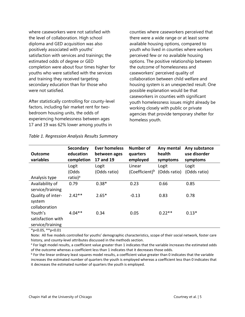where caseworkers were not satisfied with the level of collaboration. High school diploma and GED acquisition was also positively associated with youths' satisfaction with services and trainings; the estimated odds of degree or GED completion were about four times higher for youths who were satisfied with the services and training they received targeting secondary education than for those who were not satisfied.

After statistically controlling for county-level factors, including fair market rent for twobedroom housing units, the odds of experiencing homelessness between ages 17 and 19 was 62% lower among youths in

counties where caseworkers perceived that there were a wide range or at least some available housing options, compared to youth who lived in counties where workers perceived few or no available housing options. The positive relationship between the outcome of homelessness and caseworkers' perceived quality of collaboration between child welfare and housing system is an unexpected result. One possible explanation would be that caseworkers in counties with significant youth homelessness issues might already be working closely with public or private agencies that provide temporary shelter for homeless youth.

| <b>Outcome</b><br>variables                      | <b>Secondary</b><br>education<br>completion | Ever homeless<br>between ages<br>17 and 19 | <b>Number of</b><br>quarters<br>employed | Any mental<br>health<br>symptoms | Any substance<br>use disorder<br>symptoms |
|--------------------------------------------------|---------------------------------------------|--------------------------------------------|------------------------------------------|----------------------------------|-------------------------------------------|
|                                                  | Logit                                       | Logit                                      | Linear                                   | Logit                            | Logit                                     |
|                                                  | (Odds                                       | (Odds ratio)                               | (Coefficient) <sup>b</sup>               | (Odds ratio)                     | (Odds ratio)                              |
| Analysis type                                    | ratio) <sup>a</sup>                         |                                            |                                          |                                  |                                           |
| Availability of<br>service/training              | 0.79                                        | $0.38*$                                    | 0.23                                     | 0.66                             | 0.85                                      |
| Quality of inter-<br>system<br>collaboration     | $2.42**$                                    | $2.65*$                                    | $-0.13$                                  | 0.83                             | 0.78                                      |
| Youth's<br>satisfaction with<br>service/training | $4.04**$                                    | 0.34                                       | 0.05                                     | $0.22**$                         | $0.13*$                                   |

*Table 1. Regression Analysis Results Summary*

\*p<0.05, \*\*p<0.01

Note: All five models controlled for youths' demographic characteristics, scope of their social network, foster care history, and county-level attributes discussed in the methods section.

<sup>a</sup> For logit model results, a coefficient value greater than 1 indicates that the variable increases the estimated odds of the outcome whereas a coefficient less than 1 indicates that it decreases those odds.

 $b$  For the linear ordinary least squares model results, a coefficient value greater than 0 indicates that the variable increases the estimated number of quarters the youth is employed whereas a coefficient less than 0 indicates that it decreases the estimated number of quarters the youth is employed.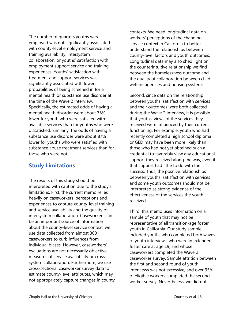The number of quarters youths were employed was not significantly associated with county-level employment service and training availability, intersystem collaboration, or youths' satisfaction with employment support service and training experiences. Youths' satisfaction with treatment and support services was significantly associated with lower probabilities of being screened in for a mental health or substance use disorder at the time of the Wave 2 interview. Specifically, the estimated odds of having a mental health disorder were about 78% lower for youth who were satisfied with available services than for youths who were dissatisfied. Similarly, the odds of having a substance use disorder were about 87% lower for youths who were satisfied with substance abuse treatment services than for those who were not.

# **Study Limitations**

The results of this study should be interpreted with caution due to the study's limitations. First, the current memo relies heavily on caseworkers' perceptions and experiences to capture county-level training and service availability and the quality of intersystem collaboration. Caseworkers can be an important source of information about the county-level service context; we use data collected from almost 300 caseworkers to curb influences from individual biases. However, caseworkers' evaluations are not necessarily objective measures of service availability or crosssystem collaboration. Furthermore, we use cross-sectional caseworker survey data to estimate county-level attributes, which may not appropriately capture changes in county contexts. We need longitudinal data on workers' perceptions of the changing service context in California to better understand the relationships between county-level factors and youth outcomes. Longitudinal data may also shed light on the counterintuitive relationship we find between the homelessness outcome and the quality of collaboration between child welfare agencies and housing systems.

Second, since data on the relationship between youths' satisfaction with services and their outcomes were both collected during the Wave 2 interview, it is possible that youths' views of the services they received were influenced by their current functioning. For example, youth who had recently completed a high school diploma or GED may have been more likely than those who had not yet obtained such a credential to favorably view any educational support they received along the way, even if that support had little to do with their success. Thus, the positive relationships between youths' satisfaction with services and some youth outcomes should not be interpreted as strong evidence of the effectiveness of the services the youth received.

Third, this memo uses information on a sample of youth that may not be representative of all transition-age foster youth in California. Our study sample included youths who completed both waves of youth interviews, who were in extended foster care at age 19, and whose caseworkers completed the Wave 2 caseworker survey. Sample attrition between the first and second round of youth interviews was not excessive, and over 95% of eligible workers completed the second worker survey. Nevertheless, we did not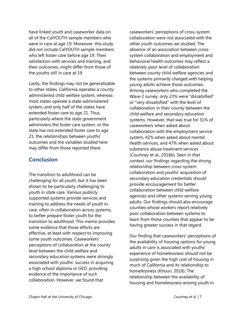have linked youth and caseworker data on all of the CalYOUTH sample members who were in care at age 19. Moreover, this study did not include CalYOUTH sample members who left foster care before age 19. Their satisfaction with services and training, and their outcomes, might differ from those of the youths still in care at 19.

Lastly, the findings may not be generalizable to other states. California operates a countyadministered child welfare system, whereas most states operate a state-administered system, and only half of the states have extended foster care to age 21. Thus, particularly where the state government administers the foster care system, or the state has not extended foster care to age 21, the relationships between youths' outcomes and the variables studied here may differ from those reported there.

## **Conclusion**

The transition to adulthood can be challenging for all youth, but it has been shown to be particularly challenging to youth in state care. Various publicly supported systems provide services and training to address the needs of youth in care, often in collaboration across systems, to better prepare foster youth for the transition to adulthood. This memo provides some evidence that those efforts are effective, at least with respect to improving some youth outcomes. Caseworkers' perceptions of collaboration at the county level between the child welfare and secondary education systems were strongly associated with youths' success in acquiring a high school diploma or GED, providing evidence of the importance of such collaboration. However, we found that

caseworkers' perceptions of cross-system collaboration were not associated with the other youth outcomes we studied. The absence of an association between crosssystem collaboration and employment and behavioral health outcomes may reflect a relatively poor level of collaboration between county child welfare agencies and the systems primarily charged with helping young adults achieve those outcomes. Among caseworkers who completed the Wave 2 survey, only 23% were "dissatisfied" or "very dissatisfied" with the level of collaboration in their county between the child welfare and secondary education systems. However, that was true for 31% of caseworkers when asked about collaboration with the employment service system, 42% when asked about mental health services, and 47% when asked about substance abuse treatment services (Courtney et al., 2016b). Seen in that context, our findings regarding the strong relationship between cross-system collaboration and youths' acquisition of secondary education credentials should provide encouragement for better collaboration between child welfare agencies and other systems serving young adults. Our findings should also encourage counties whose workers report relatively poor collaboration between systems to learn from those counties that appear to be having greater success in that regard.

Our finding that caseworkers' perceptions of the availability of housing options for young adults in care is associated with youths' experience of homelessness should not be surprising given the high cost of housing in much of California and its relationship to homelessness (Khouri, 2018). The relationship between the availability of housing and homelessness among youth in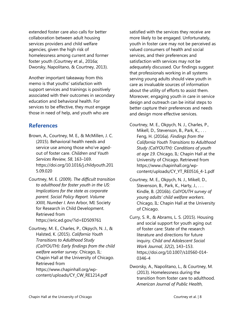extended foster care also calls for better collaboration between adult housing services providers and child welfare agencies, given the high risk of homelessness among current and former foster youth (Courtney et al., 2016a; Dworsky, Napolitano, & Courtney, 2013).

Another important takeaway from this memo is that youths' satisfaction with support services and trainings is positively associated with their outcomes in secondary education and behavioral health. For services to be effective, they must engage those in need of help, and youth who are

## **References**

- Brown, A., Courtney, M. E., & McMillen, J. C. (2015). Behavioral health needs and service use among those who've agedout of foster care. *Children and Youth Services Review*, *58*, 163–169. https://doi.org/10.1016/j.childyouth.201 5.09.020
- Courtney, M. E. (2009). *The difficult transition to adulthood for foster youth in the US: Implications for the state as corporate parent. Social Policy Report. Volume XXIII, Number I*. Ann Arbor, MI: Society for Research in Child Development. Retrieved from https://eric.ed.gov/?id=ED509761
- Courtney, M. E., Charles, P., Okpych, N. J., & Halsted, K. (2015). *California Youth Transitions to Adulthood Study (CalYOUTH): Early findings from the child welfare worker survey*. Chicago, IL: Chapin Hall at the University of Chicago. Retrieved from https://www.chapinhall.org/wpcontent/uploads/CY\_CW\_RE1214.pdf

satisfied with the services they receive are more likely to be engaged. Unfortunately, youth in foster care may not be perceived as valued consumers of health and social services, and their preferences and satisfaction with services may not be adequately discussed. Our findings suggest that professionals working in all systems serving young adults should view youth in care as invaluable sources of information about the utility of efforts to assist them. Moreover, engaging youth in care in service design and outreach can be initial steps to better capture their preferences and needs and design more effective services.

- Courtney, M. E., Okpych, N. J., Charles, P., Mikell, D., Stevenson, B., Park, K., ... Feng, H. (2016a). *Findings from the California Youth Transitions to Adulthood Study (CalYOUTH): Conditions of youth at age 19*. Chicago, IL: Chapin Hall at the University of Chicago. Retrieved from https://www.chapinhall.org/wpcontent/uploads/CY\_YT\_RE0516\_4-1.pdf
- Courtney, M. E., Okpych, N. J., Mikell, D., Stevenson, B., Park, K., Harty, J., ... Kindle, B. (2016b). *CalYOUTH survey of young adults' child welfare workers*. Chicago, IL: Chapin Hall at the University of Chicago.
- Curry, S. R., & Abrams, L. S. (2015). Housing and social support for youth aging out of foster care: State of the research literature and directions for future inquiry. *Child and Adolescent Social Work Journal*, *32*(2), 143–153. https://doi.org/10.1007/s10560-014- 0346-4
- Dworsky, A., Napolitano, L., & Courtney, M. (2013). Homelessness during the transition from foster care to adulthood. *American Journal of Public Health*,